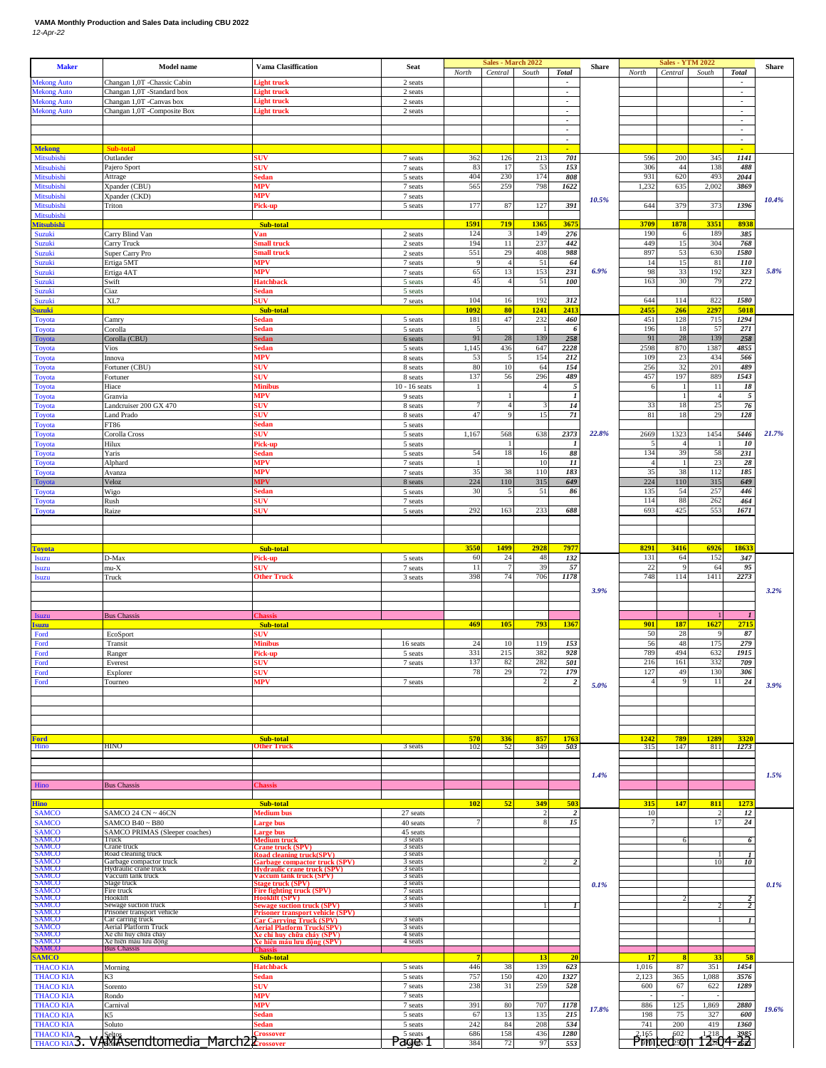## **VAMA Monthly Production and Sales Data including CBU 2022** *12-Apr-22*

| <b>Maker</b>                                        | <b>Model name</b>                                      | <b>Vama Clasiffication</b>                                             | <b>Seat</b>                | North               | Sales - March 2022<br>Central | South              | <b>Total</b>                                         | Share | North       | <b>Sales - YTM 2022</b><br>Central | South                | <b>Total</b>                                         | <b>Share</b> |
|-----------------------------------------------------|--------------------------------------------------------|------------------------------------------------------------------------|----------------------------|---------------------|-------------------------------|--------------------|------------------------------------------------------|-------|-------------|------------------------------------|----------------------|------------------------------------------------------|--------------|
| <b>Mekong Auto</b>                                  | Changan 1,0T -Chassic Cabin                            | .ight truck                                                            | 2 seats                    |                     |                               |                    | $\overline{\phantom{a}}$                             |       |             |                                    |                      | $\overline{\phantom{a}}$                             |              |
| <b>Mekong Auto</b><br><b>Mekong Auto</b>            | Changan 1,0T -Standard box<br>Changan 1,0T -Canvas box | ight truck<br>light truck                                              | 2 seats<br>2 seats         |                     |                               |                    | $\overline{\phantom{a}}$<br>$\overline{\phantom{a}}$ |       |             |                                    |                      | $\overline{\phantom{a}}$<br>$\overline{\phantom{a}}$ |              |
| <b>Mekong Auto</b>                                  | Changan 1,0T -Composite Box                            | light truck                                                            | 2 seats                    |                     |                               |                    | $\overline{\phantom{a}}$                             |       |             |                                    |                      | $\overline{\phantom{a}}$                             |              |
|                                                     |                                                        |                                                                        |                            |                     |                               |                    | $\overline{\phantom{a}}$<br>$\overline{\phantom{a}}$ |       |             |                                    |                      | $\overline{\phantom{a}}$<br>$\overline{\phantom{a}}$ |              |
|                                                     | Sub-total                                              |                                                                        |                            |                     |                               |                    | $\overline{\phantom{a}}$                             |       |             |                                    |                      | $\overline{\phantom{a}}$                             |              |
| <b>Mekong</b><br>Mitsubishi                         | Outlander                                              | suv                                                                    | 7 seats                    | 362                 | 126                           | 213                | 701                                                  |       | 596         | 200                                | 345                  | 1141                                                 |              |
| Mitsubishi<br>Mitsubishi                            | Pajero Sport<br>Attrage                                | <b>SUV</b><br>sedan                                                    | 7 seats<br>5 seats         | 83<br>404           | 17<br>230                     | 53<br>174          | 153<br>808                                           |       | 306<br>931  | 44<br>620                          | 138<br>493           | 488<br>2044                                          |              |
| Mitsubishi                                          | Xpander (CBU)                                          | <b>MPV</b>                                                             | 7 seats                    | 565                 | 259                           | 798                | 1622                                                 |       | 1,232       | 635                                | 2,002                | 3869                                                 |              |
| Mitsubishi<br>Mitsubishi                            | Xpander (CKD)<br>Triton                                | ИPV<br>ick-up                                                          | 7 seats<br>5 seats         | 177                 | 87                            | 127                | 391                                                  | 10.5% | 644         | 379                                | 373                  | 1396                                                 | 10.4%        |
| Mitsubishi                                          |                                                        |                                                                        |                            |                     |                               |                    |                                                      |       |             |                                    |                      |                                                      |              |
| <b>Mitsubishi</b><br>Suzuki                         | Carry Blind Van                                        | <b>Sub-total</b><br>Van                                                | 2 seats                    | 1591<br>124         | 719<br>3                      | <b>1365</b><br>149 | 3675<br>276                                          |       | 3709<br>190 | 1878<br>6                          | 3351<br>189          | 8938<br>385                                          |              |
| Suzuki                                              | Carry Truck                                            | mall truck                                                             | 2 seats                    | 194                 | 11                            | 237                | 442                                                  |       | 449         | 15                                 | 304                  | 768                                                  |              |
| Suzuki<br>Suzuki                                    | Super Carry Pro<br>Ertiga 5MT                          | mall truck<br><b>MPV</b>                                               | 2 seats<br>7 seats         | 551<br><sup>q</sup> | 29<br>$\overline{4}$          | 408<br>51          | 988<br>64                                            |       | 897<br>14   | 53<br>15                           | 630<br>81            | 1580<br>110                                          |              |
| Suzuki                                              | Ertiga 4AT                                             | MPV                                                                    | 7 seats                    | 65                  | 13                            | 153                | 231                                                  | 6.9%  | 98          | 33                                 | 192                  | 323                                                  | 5.8%         |
| Suzuki<br>Suzuki                                    | Swift<br>Ciaz                                          | Hatchback<br>sedan                                                     | 5 seats<br>5 seats         | 45                  | $\overline{4}$                | 51                 | 100                                                  |       | 163         | 30                                 | 79                   | 272                                                  |              |
| Suzuki                                              | XL7                                                    | <b>SUV</b>                                                             | 7 seats                    | 104                 | 16                            | 192                | 312                                                  |       | 644         | 114                                | 822                  | 1580                                                 |              |
| <b>Suzuki</b><br>Toyota                             | Camry                                                  | Sub-tota<br>iedan                                                      | 5 seats                    | 1092<br>181         | 80<br>47                      | <u>1241</u><br>232 | 2413<br>460                                          |       | 2455<br>451 | 266<br>128                         | 2297<br>715          | 501<br>1294                                          |              |
| <b>Toyota</b>                                       | Corolla                                                | edan                                                                   | 5 seats                    | 5<br>91             | 28                            | 139                | 6                                                    |       | 196<br>91   | 18<br>28                           | 57<br>139            | 271                                                  |              |
| Toyota<br><b>Toyota</b>                             | Corolla (CBU)<br>Vios                                  | <b>iedan</b><br>iedan                                                  | 6 seats<br>5 seats         | 1,145               | 436                           | 647                | 258<br>2228                                          |       | 2598        | 870                                | 1387                 | 258<br>4855                                          |              |
| <b>Toyota</b>                                       | Innova                                                 | <b>MPV</b>                                                             | 8 seats                    | 53<br>80            | 5<br>10                       | 154                | 212                                                  |       | 109         | 23<br>32                           | 434<br>201           | 566<br>489                                           |              |
| Toyota<br>Toyota                                    | Fortuner (CBU)<br>Fortuner                             | SUV<br><b>SUV</b>                                                      | 8 seats<br>8 seats         | 137                 | 56                            | 64<br>296          | 154<br>489                                           |       | 256<br>457  | 197                                | 889                  | 1543                                                 |              |
| <b>Toyota</b><br><b>Toyota</b>                      | Hiace<br>Granvia                                       | Minibus<br><b>MPV</b>                                                  | $10 - 16$ seats<br>9 seats |                     |                               | $\overline{4}$     | 5<br>$\boldsymbol{l}$                                |       | 6           |                                    | 11<br>$\overline{4}$ | 18<br>$\sqrt{5}$                                     |              |
| <b>Toyota</b>                                       | Landcruiser 200 GX 470                                 | suv                                                                    | 8 seats                    |                     | $\overline{4}$                |                    | 14                                                   |       | 33          | 18                                 | 25                   | 76                                                   |              |
| <b>Toyota</b><br><b>Toyota</b>                      | <b>Land Prado</b><br>FT86                              | <b>SUV</b><br>šedan                                                    | 8 seats<br>5 seats         | 47                  |                               | 15                 | $7\mathit{l}$                                        |       | 81          | 18                                 | 29                   | 128                                                  |              |
| Toyota                                              | Corolla Cross                                          | <b>SUV</b>                                                             | 5 seats                    | 1,167               | 568                           | 638                | 2373                                                 | 22.8% | 2669        | 1323                               | 1454                 | 5446                                                 | 21.7%        |
| <b>Toyota</b>                                       | Hilux                                                  | <sup>9</sup> ick-up                                                    | 5 seats                    |                     | 18                            |                    | - 1<br>88                                            |       | 134         | 39                                 |                      | $10\,$<br>231                                        |              |
| <b>Toyota</b><br><b>Toyota</b>                      | Yaris<br>Alphard                                       | sedan<br><b>MPV</b>                                                    | 5 seats<br>7 seats         | 54                  |                               | 16<br>10           | $\it{11}$                                            |       |             |                                    | 58<br>23             | 28                                                   |              |
| Toyota                                              | Avanza                                                 | MPV                                                                    | 7 seats                    | 35                  | 38                            | 110                | 183                                                  |       | 35          | 38                                 | 112                  | 185                                                  |              |
| Toyota<br><b>Toyota</b>                             | Veloz<br>Wigo                                          | <b>APV</b><br>sedan                                                    | 8 seats<br>5 seats         | 224<br>30           | 110<br>5                      | 315<br>51          | 649<br>86                                            |       | 224<br>135  | 110<br>54                          | 315<br>257           | 649<br>446                                           |              |
| <b>Toyota</b>                                       | Rush                                                   | <b>SUV</b>                                                             | 7 seats                    | 292                 | 163                           | 233                |                                                      |       | 114<br>693  | 88<br>425                          | 262<br>553           | 464                                                  |              |
| Toyota                                              | Raize                                                  | <b>iUV</b>                                                             | 5 seats                    |                     |                               |                    | 688                                                  |       |             |                                    |                      | 1671                                                 |              |
|                                                     |                                                        |                                                                        |                            |                     |                               |                    |                                                      |       |             |                                    |                      |                                                      |              |
| <b>Toyota</b>                                       |                                                        | Sub-total                                                              |                            | 3550                | 1499                          | 2928               | 7977                                                 |       | 8291        | 3416                               | 6926                 | 18633                                                |              |
| <b>Isuzu</b><br><b>Isuzu</b>                        | D-Max<br>$mu-X$                                        | ick-up<br><b>iUV</b>                                                   | 5 seats<br>7 seats         | 60<br>11            | 24                            | 48<br>39           | 132<br>57                                            |       | 131<br>22   | 64<br>-c                           | 152<br>64            | 347<br>95                                            |              |
| <b>Isuzu</b>                                        | Truck                                                  | Other Truck                                                            | 3 seats                    | 398                 | 74                            | 706                | 1178                                                 |       | 748         | 114                                | 1411                 | 2273                                                 |              |
|                                                     |                                                        |                                                                        |                            |                     |                               |                    |                                                      | 3.9%  |             |                                    |                      |                                                      | 3.2%         |
|                                                     |                                                        | <b>Thassis</b>                                                         |                            |                     |                               |                    |                                                      |       |             |                                    |                      | 2715<br>87<br>279                                    |              |
| <b>Isuzu</b><br><b>Isuzu</b>                        | <b>Bus Chassis</b>                                     | <b>Sub-total</b>                                                       |                            | 469                 | 105                           | 793                | 1367                                                 |       | 901         | 187                                | 1627                 |                                                      |              |
| Ford<br>Ford                                        | EcoSport<br>Transit                                    | 5UV<br><b>Ainibus</b>                                                  | 16 seats                   | 24                  | 10                            | 119                | 153                                                  |       | 50<br>56    | 28<br>48                           | 9<br>175             |                                                      |              |
| Ford                                                | Ranger                                                 | ick-up                                                                 | 5 seats                    | 331                 | 215                           | 382                | 928                                                  |       | 789         | 494                                | 632                  | 1915                                                 |              |
| Ford<br>Ford                                        | Everest<br>Explorer                                    | ПV<br>5UV                                                              | 7 seats                    | 137<br>78           | 82<br>29                      | 282<br>72          | 501<br>179                                           |       | 216<br>127  | 161<br>49                          | 332<br>130           | 709<br>306                                           |              |
| Ford                                                | Tourneo                                                | MPV                                                                    | 7 seats                    |                     |                               |                    | $\overline{2}$                                       | 5.0%  |             |                                    | 11                   | 24                                                   | 3.9%         |
|                                                     |                                                        |                                                                        |                            |                     |                               |                    |                                                      |       |             |                                    |                      |                                                      |              |
|                                                     |                                                        |                                                                        |                            |                     |                               |                    |                                                      |       |             |                                    |                      |                                                      |              |
|                                                     |                                                        |                                                                        |                            |                     |                               |                    |                                                      |       |             |                                    |                      |                                                      |              |
| <b>Ford</b><br>Hino                                 | HINO                                                   | Sub-total<br>Other Truck                                               | 3 seats                    | 570<br>102          | 336<br>52                     | 857<br>349         | 1763<br>503                                          |       | 1242<br>315 | 789<br>147                         | 1289<br>811          | 3320<br>1273                                         |              |
|                                                     |                                                        |                                                                        |                            |                     |                               |                    |                                                      |       |             |                                    |                      |                                                      |              |
|                                                     |                                                        |                                                                        |                            |                     |                               |                    |                                                      | 1.4%  |             |                                    |                      |                                                      | 1.5%         |
| Hino                                                | <b>Bus Chassis</b>                                     | <b>Thassis</b>                                                         |                            |                     |                               |                    |                                                      |       |             |                                    |                      |                                                      |              |
| <b>Hino</b>                                         |                                                        | Sub-total                                                              |                            | <b>102</b>          | 52                            | 349                | 503                                                  |       | 315         | 147                                | 811                  | 127                                                  |              |
| <b>SAMCO</b><br><b>SAMCO</b>                        | SAMCO 24 CN ~ 46CN<br>SAMCO B40 ~ B80                  | Medium bus<br>arge bus.                                                | 27 seats<br>40 seats       |                     |                               | $\overline{2}$     | $\overline{\mathbf{c}}$<br>$15\,$                    |       | 10          |                                    | $\overline{2}$<br>17 | $12\,$<br>24                                         |              |
| <b>SAMCO</b>                                        | SAMCO PRIMAS (Sleeper coaches)<br>Truck                | arge bus                                                               | 45 seats<br>3 seats        |                     |                               |                    |                                                      | 0.1%  |             |                                    |                      |                                                      |              |
|                                                     | Crane truck                                            | <u>Medium truck</u><br>Crane truck (SPV)                               | 3 seats                    |                     |                               |                    |                                                      |       |             |                                    |                      | 6                                                    |              |
| <b>SAMCO<br/>SAMCO<br/>SAMCO<br/>SAMCO</b><br>SAMCO | Road cleaning truck<br>Garbage compactor truck         | <b>Road cleaning truck(SPV)</b><br>Garbage compactor truck (SPV)       | 3 seats<br>3 seats         |                     |                               |                    |                                                      |       |             |                                    | 10                   | 10                                                   |              |
|                                                     | Hydraulic crane truck<br>Vaccum tank truck             | Hydraulic crane truck (SPV)<br>Vaccum tank truck (SPV)                 | 3 seats<br>3 seats         |                     |                               |                    |                                                      |       |             |                                    |                      |                                                      |              |
|                                                     | Stage truck<br>Fire truck                              | Stage truck (SPV)<br>The fighting truck (SPV)                          | 3 seats<br>7 seats         |                     |                               |                    |                                                      |       |             |                                    |                      |                                                      | 0.1%         |
| SAMCO<br>SAMCO<br>SAMCO<br>SAMCO<br>SAMCO           | Hooklift<br>Sewage suction truck                       | Hooklift (SPV)<br><b>Sewage suction truck (SPV)</b>                    | 3 seats<br>3 seats         |                     |                               |                    |                                                      |       |             |                                    |                      |                                                      |              |
|                                                     | Prisoner transport vehicle<br>Car carring truck        | <b>Prisoner transport vehicle (SPV)</b><br>Car Carrying Truck (SPV)    | 3 seats                    |                     |                               |                    |                                                      |       |             |                                    |                      |                                                      |              |
| SAMCO<br>SAMCO<br>SAMCO<br>SAMCO<br>SAMCO           | Aerial Platform Truck<br>Xe chi huy chữa cháy          | <u><b>Aerial Platform Truck(SPV)</b></u><br>le chỉ huy chữa cháy (SPV) | 3 seats<br>4 seats         |                     |                               |                    |                                                      |       |             |                                    |                      |                                                      |              |
| <b>SAMCO</b>                                        | Xe hiên máu lưu động<br><b>Bus Chassis</b>             | <u> Ke hiến máu lưu đông (SPV)</u>                                     | 4 seats                    |                     |                               |                    |                                                      |       |             |                                    |                      |                                                      |              |
| <b>SAMCO</b><br><b>THACO KIA</b>                    | Morning                                                | Sub-total<br><b>Hatchback</b>                                          | 5 seats                    | -7<br>446           | 38                            | 13<br>139          | 20<br>623                                            |       | 17<br>1,016 | 87                                 | 33<br>351            | 59<br>1454                                           |              |
| <b>THACO KIA</b>                                    | K3                                                     | sedan                                                                  | 5 seats                    | 757                 | 150                           | 420                | 1327                                                 |       | 2,123       | 365                                | 1,088                | 3576                                                 |              |
| <b>THACO KIA</b><br><b>THACO KIA</b>                | Sorento<br>Rondo                                       | <b>SUV</b><br>MPV                                                      | 7 seats<br>7 seats         | 238                 | 31                            | 259                | 528                                                  |       | 600         | 67                                 | 622                  | 1289                                                 |              |
| <b>THACO KIA</b>                                    | Carnival<br>K5                                         | MPV<br>sedan                                                           | 7 seats                    | 391                 | 80<br>13                      | 707                | 1178                                                 | 17.8% | 886         | 125                                | 1,869<br>327         | 2880                                                 | 19.6%        |
| <b>THACO KIA</b><br><b>THACO KIA</b>                | Soluto                                                 | edan                                                                   | 5 seats<br>5 seats         | 67<br>242           | 84                            | 135<br>208         | 215<br>534                                           |       | 198<br>741  | 75<br>200                          | 419                  | 600<br>1360                                          |              |
| <b>THACO KIA</b><br>THACO KIA 3.                    | VAMASendtomedia_March2 <sup>Crossover</sup>            |                                                                        | 5 seats<br>Pages I         | 686<br>384          | 158<br>72                     | 436<br>97          | 1280<br>553                                          |       | 2,165       | 602<br>Printed on                  |                      | $\frac{1218}{12304 - 224}$                           |              |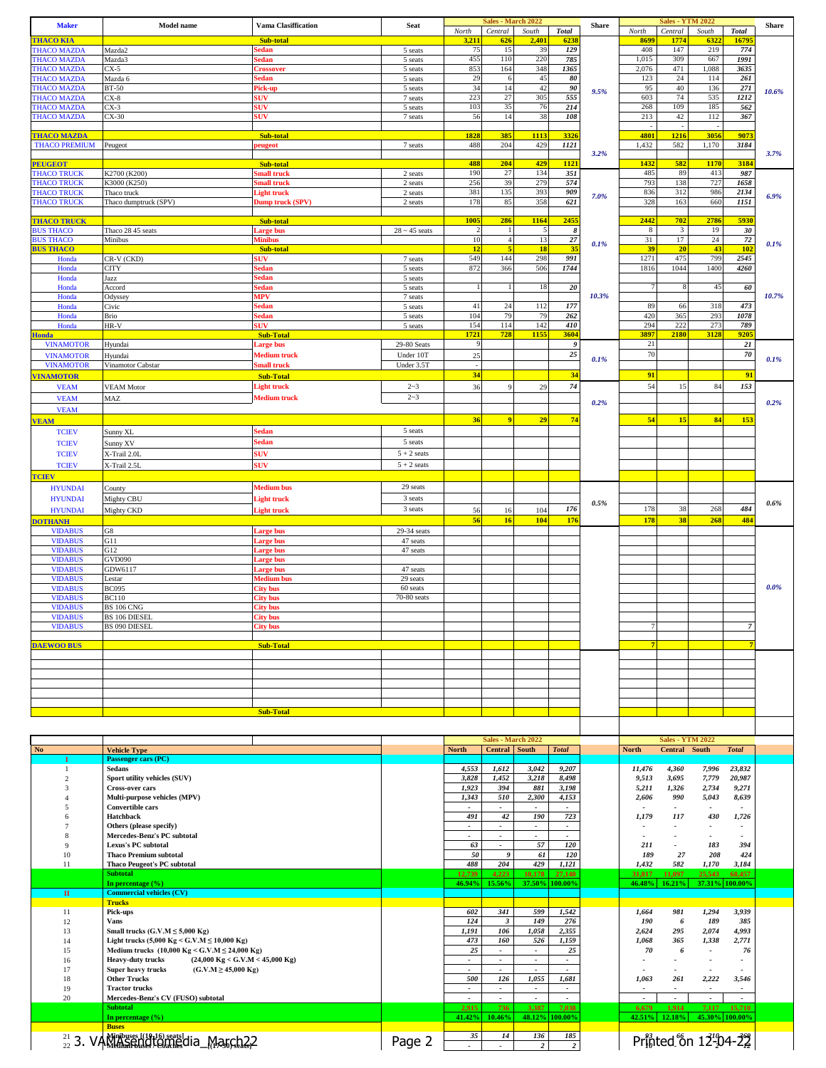| <b>THACO KIA</b>                         | <b>Model name</b>                                                                | Vama Clasiffication                  | <b>Seat</b>          | North                          | Sales - March 2022<br>Central   | South                              | <b>Total</b>                      | <b>Share</b> | North                             | <b>Sales - YTM 2022</b><br>Central<br>South |                          | <b>Total</b>             | <b>Share</b> |
|------------------------------------------|----------------------------------------------------------------------------------|--------------------------------------|----------------------|--------------------------------|---------------------------------|------------------------------------|-----------------------------------|--------------|-----------------------------------|---------------------------------------------|--------------------------|--------------------------|--------------|
|                                          |                                                                                  | Sub-total                            |                      | 3,211                          | 626                             | 2,401                              | 623                               |              | 8699                              | 1774                                        | 632                      | 1679                     |              |
| <b>THACO MAZDA</b>                       | Mazda2                                                                           | edan                                 | 5 seats              | 75                             | 15                              | 39                                 | 129                               |              | 408                               | 147                                         | 219                      | 774                      |              |
| <b>THACO MAZDA</b><br><b>THACO MAZDA</b> | Mazda3<br>CX-5                                                                   | sedan<br><b>Crossover</b>            | 5 seats<br>5 seats   | 455<br>853                     | 110<br>164                      | 220<br>348                         | 785<br>1365                       |              | 1,015<br>2,076                    | 309<br>471                                  | 667<br>1,088             | 1991<br>3635             |              |
| <b>THACO MAZDA</b>                       | Mazda 6                                                                          | sedan                                | 5 seats              | 29                             | 6                               | 45                                 | 80                                |              | 123                               | 24                                          | 114                      | 261                      |              |
| <b>THACO MAZDA</b>                       | <b>BT-50</b>                                                                     | Pick-up                              | 5 seats              | 34                             | 14                              | 42                                 | 90                                | 9.5%         | 95                                | 40                                          | 136                      | 271                      | 10.6%        |
| <b>THACO MAZDA</b>                       | $CX-8$                                                                           | <b>SUV</b>                           | 7 seats              | 223                            | 27                              | 305                                | 555                               |              | 603                               | 74                                          | 535                      | 1212                     |              |
| <b>THACO MAZDA</b>                       | $CX-3$                                                                           | <b>SUV</b>                           | 5 seats              | 103                            | 35                              | 76                                 | 214                               |              | 268                               | 109                                         | 185                      | 562                      |              |
| <b>THACO MAZDA</b>                       | $CX-30$                                                                          | suv                                  | 7 seats              | 56                             | 14                              | 38                                 | 108                               |              | 213                               | 42                                          | 112                      | 367                      |              |
| <b>THACO MAZDA</b>                       |                                                                                  | Sub-total                            |                      | 1828                           | 385                             | 1113                               | 332                               |              | 4801                              | 1216                                        | 3056                     | 9073                     |              |
| <b>THACO PREMIUM</b>                     | Peugeot                                                                          | eugeot                               | 7 seats              | 488                            | 204                             | 429                                | 1121                              |              | 1,432                             | 582                                         | 1,170                    | 3184                     |              |
|                                          |                                                                                  |                                      |                      |                                |                                 |                                    |                                   | 3.2%         |                                   |                                             |                          |                          | 3.7%         |
| <b>PEUGEOT</b>                           |                                                                                  | Sub-total                            |                      | 488                            | 204                             | 429                                | 1121                              |              | 1432                              | 582                                         | 1170                     | 3184                     |              |
| <b>THACO TRUCK</b>                       | K2700 (K200)                                                                     | mall truck                           | 2 seats              | 190                            | 27                              | 134                                | 351                               |              | 485                               | 89                                          | 413                      | 987                      |              |
| <b>THACO TRUCK</b>                       | K3000 (K250)                                                                     | mall truck                           | 2 seats              | 256                            | 39                              | 279                                | 574                               |              | 793                               | 138                                         | 727                      | 1658                     |              |
| <b>THACO TRUCK</b>                       | Thaco truck                                                                      | Light truck                          | 2 seats              | 381                            | 135                             | 393                                | 909                               | 7.0%         | 836                               | 312                                         | 986                      | 2134                     | 6.9%         |
| <b>THACO TRUCK</b>                       | Thaco dumptruck (SPV)                                                            | Dump truck (SPV)                     | 2 seats              | 178                            | 85                              | 358                                | 621                               |              | 328                               | 163                                         | 660                      | 1151                     |              |
| <b>THACO TRUCK</b>                       |                                                                                  |                                      |                      | 1005                           | 286                             | 1164                               | 2455                              |              | 2442                              | 702                                         | 2786                     | 5930                     |              |
| <b>BUS THACO</b>                         | Thaco 28 45 seats                                                                | Sub-total<br>arge bus                | $28 \sim 45$ seats   | $\overline{c}$                 |                                 |                                    | -8                                |              | 8                                 | 3                                           | 19                       | 30                       |              |
| <b>BUS THACO</b>                         | Minibus                                                                          | Minibus                              |                      | 10                             | $\overline{4}$                  | 13                                 | 27                                |              | 31                                | 17                                          | 24                       | 72                       |              |
| <b>BUS THACO</b>                         |                                                                                  | Sub-total                            |                      | 12                             | 5                               | <b>18</b>                          | 35                                | 0.1%         | 39                                | 20                                          | 43                       | 102                      | 0.1%         |
| Honda                                    | CR-V (CKD)                                                                       | SUV-                                 | 7 seats              | 549                            | 144                             | 298                                | 991                               |              | 1271                              | 475                                         | 799                      | 2545                     |              |
| Honda                                    | CITY                                                                             | sedan                                | 5 seats              | 872                            | 366                             | 506                                | 1744                              |              | 1816                              | 1044                                        | 1400                     | 4260                     |              |
| Honda                                    | Jazz                                                                             | sedan                                | 5 seats              |                                |                                 |                                    |                                   |              |                                   |                                             |                          |                          |              |
| Honda                                    | Accord                                                                           | sedan                                | 5 seats              | $\overline{1}$                 |                                 | 18                                 | 20                                |              | $\overline{7}$                    | 8                                           | 45                       | 60                       |              |
| Honda                                    | Odyssey                                                                          | <b>MPV</b>                           | 7 seats              |                                |                                 |                                    |                                   | 10.3%        |                                   |                                             |                          |                          | 10.7%        |
| Honda                                    | Civic                                                                            | sedan                                | 5 seats              | 41                             | 24                              | 112                                | 177                               |              | 89                                | 66                                          | 318                      | 473                      |              |
| Honda                                    | Brio                                                                             | sedan                                | 5 seats              | 104                            | 79                              | 79                                 | 262                               |              | 420                               | 365                                         | 293                      | 1078                     |              |
| Honda                                    | HR-V                                                                             | <b>SUV</b>                           | 5 seats              | 154<br>1721                    | 114<br>728                      | 142<br>115                         | 410<br>3604                       |              | 294<br>3897                       | 222<br>2180                                 | 273<br>3128              | 789<br>920:              |              |
| <b>Honda</b><br><b>VINAMOTOR</b>         | Hyundai                                                                          | <b>Sub-Total</b><br><b>Large bus</b> | 29-80 Seats          | 9                              |                                 |                                    | - 9                               |              | 21                                |                                             |                          | $21\,$                   |              |
|                                          |                                                                                  | <b>Medium</b> truck                  | Under 10T            | 25                             |                                 |                                    | 25                                |              | 70                                |                                             |                          | $70\,$                   |              |
| <b>VINAMOTOR</b><br><b>VINAMOTOR</b>     | Hyundai<br>Vinamotor Cabstar                                                     | Small truck                          | Under 3.5T           |                                |                                 |                                    |                                   | 0.1%         |                                   |                                             |                          |                          | 0.1%         |
|                                          |                                                                                  |                                      |                      | 34                             |                                 |                                    | 34                                |              | 91                                |                                             |                          | 91                       |              |
| <b>VINAMOTOR</b>                         |                                                                                  | <b>Sub-Total</b>                     |                      |                                |                                 |                                    |                                   |              |                                   |                                             |                          |                          |              |
| <b>VEAM</b>                              | <b>VEAM Motor</b>                                                                | <b>Light truck</b>                   | $2 - 3$              | 36                             | <sup>Q</sup>                    | 29                                 | 74                                |              | 54                                | 15                                          | 84                       | 153                      |              |
| <b>VEAM</b>                              | MAZ                                                                              | Medium truck                         | $2 - 3$              |                                |                                 |                                    |                                   | 0.2%         |                                   |                                             |                          |                          | 0.2%         |
| <b>VEAM</b>                              |                                                                                  |                                      |                      |                                |                                 |                                    |                                   |              |                                   |                                             |                          |                          |              |
| <b>VEAM</b>                              |                                                                                  |                                      |                      | 36                             | 9                               | 29                                 | 74                                |              | 54                                | 15                                          | 84                       | 153                      |              |
| <b>TCIEV</b>                             | Sunny XL                                                                         | Sedan                                | 5 seats              |                                |                                 |                                    |                                   |              |                                   |                                             |                          |                          |              |
| <b>TCIEV</b>                             | Sunny XV                                                                         | sedan                                | 5 seats              |                                |                                 |                                    |                                   |              |                                   |                                             |                          |                          |              |
| <b>TCIEV</b>                             | X-Trail 2.0L                                                                     | <b>SUV</b>                           | $5 + 2$ seats        |                                |                                 |                                    |                                   |              |                                   |                                             |                          |                          |              |
| <b>TCIEV</b>                             | X-Trail 2.5L                                                                     | <b>SUV</b>                           | $5 + 2$ seats        |                                |                                 |                                    |                                   |              |                                   |                                             |                          |                          |              |
| <b>TCIEV</b>                             |                                                                                  |                                      |                      |                                |                                 |                                    |                                   |              |                                   |                                             |                          |                          |              |
| <b>HYUNDAI</b>                           | County                                                                           | Medium bus                           | 29 seats             |                                |                                 |                                    |                                   |              |                                   |                                             |                          |                          |              |
| <b>HYUNDAI</b>                           |                                                                                  |                                      | 3 seats              |                                |                                 |                                    |                                   |              |                                   |                                             |                          |                          |              |
|                                          | Mighty CBU                                                                       | <b>Light truck</b>                   | 3 seats              |                                |                                 |                                    | 176                               | 0.5%         | 178                               | 38                                          | 268                      | 484                      | 0.6%         |
| <b>HYUNDAI</b>                           | Mighty CKD                                                                       | <b>Light truck</b>                   |                      | 56                             | 16                              | 104                                |                                   |              |                                   | 38                                          |                          |                          |              |
| <b>DOTHANH</b>                           |                                                                                  |                                      |                      | 56                             | 16                              | 104                                | 176                               |              | 178                               |                                             | 268                      | 484                      |              |
| <b>VIDABUS</b><br><b>VIDABUS</b>         | ${\rm G}8$<br>G11                                                                | arge bus                             | 29-34 seats          |                                |                                 |                                    |                                   |              |                                   |                                             |                          |                          |              |
| <b>VIDABUS</b>                           | G12                                                                              | <b>Large bus</b><br>Large bus        | 47 seats<br>47 seats |                                |                                 |                                    |                                   |              |                                   |                                             |                          |                          |              |
| <b>VIDABUS</b>                           | <b>GVD090</b>                                                                    | arge bus                             |                      |                                |                                 |                                    |                                   |              |                                   |                                             |                          |                          |              |
| <b>VIDABUS</b>                           | GDW6117                                                                          | arge bus                             | 47 seats             |                                |                                 |                                    |                                   |              |                                   |                                             |                          |                          |              |
| <b>VIDABUS</b>                           | Lestar                                                                           | Medium bus                           | 29 seats             |                                |                                 |                                    |                                   |              |                                   |                                             |                          |                          |              |
| <b>VIDABUS</b>                           | <b>BC095</b>                                                                     | City bus                             | 60 seats             |                                |                                 |                                    |                                   |              |                                   |                                             |                          |                          | 0.0%         |
| <b>VIDABUS</b>                           | <b>BC110</b>                                                                     | City bus                             | 70-80 seats          |                                |                                 |                                    |                                   |              |                                   |                                             |                          |                          |              |
| <b>VIDABUS</b>                           | <b>BS 106 CNG</b>                                                                | <b>City bus</b>                      |                      |                                |                                 |                                    |                                   |              |                                   |                                             |                          |                          |              |
| <b>VIDABUS</b>                           | BS 106 DIESEL                                                                    | City bus                             |                      |                                |                                 |                                    |                                   |              |                                   |                                             |                          |                          |              |
| <b>VIDABUS</b>                           | <b>BS 090 DIESEL</b>                                                             | City bus                             |                      |                                |                                 |                                    |                                   |              |                                   |                                             |                          |                          |              |
| <b>DAEWOO BUS</b>                        |                                                                                  |                                      |                      |                                |                                 |                                    |                                   |              |                                   |                                             |                          |                          |              |
|                                          |                                                                                  | <b>Sub-Total</b>                     |                      |                                |                                 |                                    |                                   |              |                                   |                                             |                          |                          |              |
|                                          |                                                                                  |                                      |                      |                                |                                 |                                    |                                   |              |                                   |                                             |                          |                          |              |
|                                          |                                                                                  |                                      |                      |                                |                                 |                                    |                                   |              |                                   |                                             |                          |                          |              |
|                                          |                                                                                  |                                      |                      |                                |                                 |                                    |                                   |              |                                   |                                             |                          |                          |              |
|                                          |                                                                                  |                                      |                      |                                |                                 |                                    |                                   |              |                                   |                                             |                          |                          |              |
|                                          |                                                                                  |                                      |                      |                                |                                 |                                    |                                   |              |                                   |                                             |                          |                          |              |
|                                          |                                                                                  |                                      |                      |                                |                                 |                                    |                                   |              |                                   |                                             |                          |                          |              |
|                                          |                                                                                  | <b>Sub-Total</b>                     |                      |                                |                                 |                                    |                                   |              |                                   |                                             |                          |                          |              |
|                                          |                                                                                  |                                      |                      |                                |                                 |                                    |                                   |              |                                   |                                             |                          |                          |              |
|                                          |                                                                                  |                                      |                      |                                | Sales - March 2022              |                                    |                                   |              |                                   | <b>Sales - YTM 2022</b>                     |                          |                          |              |
|                                          | <b>Vehicle Type</b>                                                              |                                      |                      | <b>North</b>                   | <b>Central</b> South            |                                    | <b>Total</b>                      |              | North                             | Central South                               |                          | <b>Total</b>             |              |
|                                          | Passenger cars (PC)                                                              |                                      |                      |                                |                                 |                                    |                                   |              |                                   |                                             |                          |                          |              |
| $\mathbf{1}$                             | Sedans                                                                           |                                      |                      | 4,553                          | 1,612                           | 3,042                              | 9,207                             |              | 11,476                            | 4,360                                       | 7,996                    | 23,832                   |              |
| $\overline{c}$                           | Sport utility vehicles (SUV)                                                     |                                      |                      | 3,828                          | 1,452                           | 3,218                              | 8,498                             |              | 9,513                             | 3,695                                       | 7,779                    | 20,987                   |              |
| 3                                        | <b>Cross-over cars</b>                                                           |                                      |                      | 1,923                          | 394                             | 881                                | 3,198                             |              | 5,211                             | 1,326                                       | 2,734                    | 9,271                    |              |
| 4                                        | Multi-purpose vehicles (MPV)                                                     |                                      |                      | 1,343                          | 510                             | 2,300                              | 4,153                             |              | 2,606                             | 990                                         | 5,043                    | 8,639                    |              |
| 5                                        | <b>Convertible cars</b>                                                          |                                      |                      | $\overline{\phantom{a}}$       | $\overline{\phantom{a}}$        | $\overline{\phantom{a}}$           | $\overline{\phantom{a}}$          |              | $\overline{\phantom{a}}$          | $\overline{\phantom{a}}$                    | $\overline{\phantom{a}}$ | $\overline{\phantom{a}}$ |              |
| 6                                        | Hatchback                                                                        |                                      |                      | 491                            | 42                              | 190                                | 723                               |              | 1,179                             | 117                                         | 430                      | 1,726                    |              |
| $\tau$<br>8                              | Others (please specify)                                                          |                                      |                      |                                | $\overline{\phantom{a}}$        | $\overline{\phantom{a}}$<br>$\sim$ | $\overline{\phantom{a}}$          |              | $\overline{\phantom{a}}$          |                                             |                          |                          |              |
| 9                                        | Mercedes-Benz's PC subtotal<br>Lexus's PC subtotal                               |                                      |                      | 63                             | $\sim$                          | 57                                 | 120                               |              | 211                               |                                             | 183                      | 394                      |              |
| 10                                       | <b>Thaco Premium subtotal</b>                                                    |                                      |                      | 50                             | 9                               | 61                                 | 120                               |              | 189                               | 27                                          | 208                      | 424                      |              |
| 11                                       | <b>Thaco Peugeot's PC subtotal</b>                                               |                                      |                      | 488                            | 204                             | 429                                | 1,121                             |              | 1,432                             | 582                                         | 1,170                    | 3,184                    |              |
|                                          | <b>Subtotal</b>                                                                  |                                      |                      | 12,739                         | 4,223                           | 10,178                             | 27,140                            |              | 31,817                            | 11,097                                      | 25,543                   | 68,457                   |              |
|                                          | In percentage (%)                                                                |                                      |                      | 46.94%                         | 15.56%                          | 37.50% 100.00%                     |                                   |              | 46.48%                            | 16.21%                                      |                          | 37.31% 100.00%           |              |
| $\mathbf{H}$                             | <b>Commercial vehicles (CV)</b>                                                  |                                      |                      |                                |                                 |                                    |                                   |              |                                   |                                             |                          |                          |              |
|                                          | <b>Trucks</b>                                                                    |                                      |                      |                                |                                 |                                    |                                   |              |                                   |                                             |                          |                          |              |
| 11                                       | Pick-ups                                                                         |                                      |                      | 602                            | 341                             | 599                                | 1,542                             |              | 1,664                             | 981                                         | 1,294                    | 3,939                    |              |
| 12                                       | Vans                                                                             |                                      |                      | 124                            | $\boldsymbol{\beta}$            | 149                                | 276                               |              | 190                               | 6                                           | 189                      | 385                      |              |
| 13                                       | Small trucks $(G.V.M \le 5,000 \text{ Kg})$                                      |                                      |                      | 1,191                          | 106                             | 1,058                              | 2,355                             |              | 2,624                             | 295                                         | 2,074                    | 4,993                    |              |
| 14                                       | Light trucks (5,000 Kg < G.V.M ≤ 10,000 Kg)                                      |                                      |                      | 473                            | 160                             | 526                                | 1,159                             |              | 1,068                             | 365                                         | 1,338                    | 2,771                    |              |
| 15                                       | Medium trucks $(10,000 \text{ kg} < \text{G.V.} \text{M} \le 24,000 \text{ kg})$ |                                      |                      | 25                             | $\blacksquare$                  | $\overline{\phantom{a}}$           | 25                                |              | 70                                | 6                                           |                          | 76                       |              |
| 16                                       | $(24,000 \text{ Kg} < G.V.M < 45,000 \text{ Kg})$<br><b>Heavy-duty trucks</b>    |                                      |                      |                                |                                 | $\overline{\phantom{a}}$           |                                   |              |                                   |                                             |                          |                          |              |
| 17                                       | $(G.V.M \ge 45,000 Kg)$<br>Super heavy trucks                                    |                                      |                      | ٠                              | $\overline{\phantom{a}}$        | $\overline{\phantom{a}}$           | $\overline{\phantom{a}}$          |              |                                   |                                             |                          |                          |              |
| 18                                       | <b>Other Trucks</b>                                                              |                                      |                      | 500                            | 126                             | 1,055                              | 1,681                             |              | 1,063                             | 261                                         | 2,222                    | 3,546                    |              |
| 19                                       | <b>Tractor trucks</b>                                                            |                                      |                      | ٠.<br>$\overline{\phantom{a}}$ | $\overline{\phantom{a}}$        | $\overline{\phantom{a}}$           | $\overline{\phantom{a}}$          |              |                                   | $\overline{\phantom{a}}$                    |                          | $\blacksquare$           |              |
| 20                                       | Mercedes-Benz's CV (FUSO) subtotal<br><b>Subtotal</b>                            |                                      |                      | 2,915                          | $\overline{\phantom{a}}$<br>736 | $\overline{\phantom{a}}$<br>3,387  | $\overline{\phantom{a}}$<br>7,038 |              | $\overline{\phantom{a}}$<br>6,679 | 1,914                                       | $\blacksquare$<br>7,117  | 15,710                   |              |
|                                          | In percentage $(\% )$                                                            |                                      |                      | 41.42%                         | 10.46%                          | 48.12%                             | 100.00%                           |              | 42.51%                            | 12.18%                                      |                          | 45.30% 100.00%           |              |
|                                          | <b>Buses</b>                                                                     |                                      |                      |                                |                                 |                                    |                                   |              |                                   |                                             |                          |                          |              |
| No                                       | $^{21}_{22}$ 3. VAMMASSEDGLE CATE dia March 22                                   |                                      | Page 2               | 35                             | 14                              | 136                                | 185<br>$\boldsymbol{2}$           |              |                                   |                                             | Printed on 12-04-22      |                          |              |